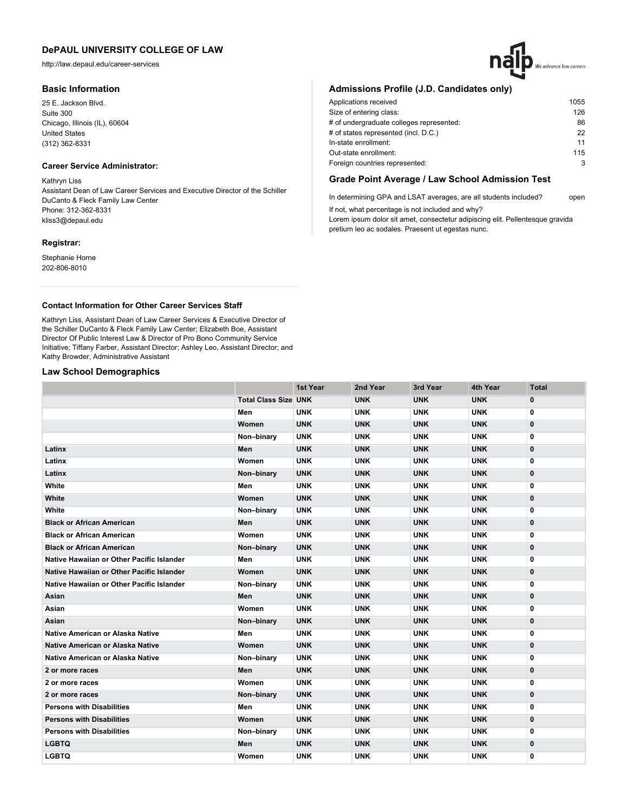http://law.depaul.edu/career-services

### **Basic Information**

25 E. Jackson Blvd. Suite 300 Chicago, Illinois (IL), 60604 United States (312) 362-8331

# **Career Service Administrator:**

Kathryn Liss Assistant Dean of Law Career Services and Executive Director of the Schiller DuCanto & Fleck Family Law Center Phone: 312-362-8331 kliss3@depaul.edu

### **Registrar:**

Stephanie Horne 202-806-8010

# **Admissions Profile (J.D. Candidates only)**

| 1055 |
|------|
| 126  |
| 86   |
| 22   |
| 11   |
| 115  |
| 3    |
|      |

# **Grade Point Average / Law School Admission Test**

In determining GPA and LSAT averages, are all students included? open If not, what percentage is not included and why?

Lorem ipsum dolor sit amet, consectetur adipiscing elit. Pellentesque gravida pretium leo ac sodales. Praesent ut egestas nunc.

### **Contact Information for Other Career Services Staff**

Kathryn Liss, Assistant Dean of Law Career Services & Executive Director of the Schiller DuCanto & Fleck Family Law Center; Elizabeth Boe, Assistant Director Of Public Interest Law & Director of Pro Bono Community Service Initiative; Tiffany Farber, Assistant Director; Ashley Leo, Assistant Director; and Kathy Browder, Administrative Assistant

## **Law School Demographics**

|                                           |                             | 1st Year   | 2nd Year   | 3rd Year   | 4th Year   | <b>Total</b> |
|-------------------------------------------|-----------------------------|------------|------------|------------|------------|--------------|
|                                           | <b>Total Class Size UNK</b> |            | <b>UNK</b> | <b>UNK</b> | <b>UNK</b> | $\mathbf{0}$ |
|                                           | Men                         | <b>UNK</b> | <b>UNK</b> | <b>UNK</b> | <b>UNK</b> | 0            |
|                                           | Women                       | <b>UNK</b> | <b>UNK</b> | <b>UNK</b> | <b>UNK</b> | $\mathbf{0}$ |
|                                           | Non-binary                  | <b>UNK</b> | <b>UNK</b> | <b>UNK</b> | <b>UNK</b> | 0            |
| Latinx                                    | Men                         | <b>UNK</b> | <b>UNK</b> | <b>UNK</b> | <b>UNK</b> | $\mathbf{0}$ |
| Latinx                                    | Women                       | <b>UNK</b> | <b>UNK</b> | <b>UNK</b> | <b>UNK</b> | 0            |
| Latinx                                    | Non-binary                  | <b>UNK</b> | <b>UNK</b> | <b>UNK</b> | <b>UNK</b> | $\mathbf{0}$ |
| White                                     | Men                         | <b>UNK</b> | <b>UNK</b> | <b>UNK</b> | <b>UNK</b> | 0            |
| White                                     | Women                       | <b>UNK</b> | <b>UNK</b> | <b>UNK</b> | <b>UNK</b> | $\mathbf{0}$ |
| White                                     | Non-binary                  | <b>UNK</b> | <b>UNK</b> | <b>UNK</b> | <b>UNK</b> | 0            |
| <b>Black or African American</b>          | Men                         | <b>UNK</b> | <b>UNK</b> | <b>UNK</b> | <b>UNK</b> | $\mathbf{0}$ |
| <b>Black or African American</b>          | Women                       | <b>UNK</b> | <b>UNK</b> | <b>UNK</b> | <b>UNK</b> | 0            |
| <b>Black or African American</b>          | Non-binary                  | <b>UNK</b> | <b>UNK</b> | <b>UNK</b> | <b>UNK</b> | $\mathbf{0}$ |
| Native Hawaiian or Other Pacific Islander | Men                         | <b>UNK</b> | <b>UNK</b> | <b>UNK</b> | <b>UNK</b> | 0            |
| Native Hawaiian or Other Pacific Islander | Women                       | <b>UNK</b> | <b>UNK</b> | <b>UNK</b> | <b>UNK</b> | $\mathbf{0}$ |
| Native Hawaiian or Other Pacific Islander | Non-binary                  | <b>UNK</b> | <b>UNK</b> | <b>UNK</b> | <b>UNK</b> | 0            |
| Asian                                     | Men                         | <b>UNK</b> | <b>UNK</b> | <b>UNK</b> | <b>UNK</b> | $\mathbf{0}$ |
| Asian                                     | Women                       | <b>UNK</b> | <b>UNK</b> | <b>UNK</b> | <b>UNK</b> | 0            |
| Asian                                     | Non-binary                  | <b>UNK</b> | <b>UNK</b> | <b>UNK</b> | <b>UNK</b> | $\mathbf{0}$ |
| <b>Native American or Alaska Native</b>   | Men                         | <b>UNK</b> | <b>UNK</b> | <b>UNK</b> | <b>UNK</b> | 0            |
| Native American or Alaska Native          | Women                       | <b>UNK</b> | <b>UNK</b> | <b>UNK</b> | <b>UNK</b> | 0            |
| <b>Native American or Alaska Native</b>   | Non-binary                  | <b>UNK</b> | <b>UNK</b> | <b>UNK</b> | <b>UNK</b> | 0            |
| 2 or more races                           | Men                         | <b>UNK</b> | <b>UNK</b> | <b>UNK</b> | <b>UNK</b> | $\mathbf{0}$ |
| 2 or more races                           | Women                       | <b>UNK</b> | <b>UNK</b> | <b>UNK</b> | <b>UNK</b> | 0            |
| 2 or more races                           | Non-binary                  | <b>UNK</b> | <b>UNK</b> | <b>UNK</b> | <b>UNK</b> | $\mathbf{0}$ |
| <b>Persons with Disabilities</b>          | Men                         | <b>UNK</b> | <b>UNK</b> | <b>UNK</b> | <b>UNK</b> | 0            |
| <b>Persons with Disabilities</b>          | Women                       | <b>UNK</b> | <b>UNK</b> | <b>UNK</b> | <b>UNK</b> | 0            |
| <b>Persons with Disabilities</b>          | Non-binary                  | <b>UNK</b> | <b>UNK</b> | <b>UNK</b> | <b>UNK</b> | 0            |
| <b>LGBTQ</b>                              | Men                         | <b>UNK</b> | <b>UNK</b> | <b>UNK</b> | <b>UNK</b> | $\mathbf{0}$ |
| <b>LGBTQ</b>                              | Women                       | <b>UNK</b> | <b>UNK</b> | <b>UNK</b> | <b>UNK</b> | 0            |

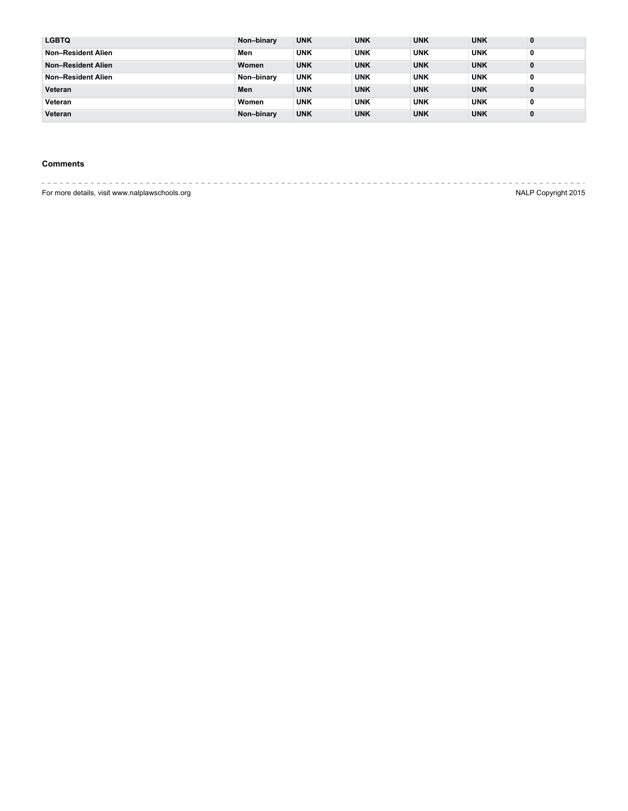| <b>LGBTQ</b>              | Non-binary | <b>UNK</b> | <b>UNK</b> | <b>UNK</b> | <b>UNK</b> | 0 |
|---------------------------|------------|------------|------------|------------|------------|---|
| Non-Resident Alien        | Men        | <b>UNK</b> | <b>UNK</b> | <b>UNK</b> | <b>UNK</b> | 0 |
| <b>Non-Resident Alien</b> | Women      | <b>UNK</b> | <b>UNK</b> | <b>UNK</b> | <b>UNK</b> | 0 |
| Non-Resident Alien        | Non-binary | <b>UNK</b> | <b>UNK</b> | <b>UNK</b> | <b>UNK</b> | 0 |
| Veteran                   | Men        | <b>UNK</b> | <b>UNK</b> | <b>UNK</b> | <b>UNK</b> | 0 |
| Veteran                   | Women      | <b>UNK</b> | <b>UNK</b> | <b>UNK</b> | <b>UNK</b> | 0 |
| Veteran                   | Non-binary | <b>UNK</b> | <b>UNK</b> | <b>UNK</b> | <b>UNK</b> | 0 |

# **Comments**

For more details, visit www.nalplawschools.org **NALP Copyright 2015**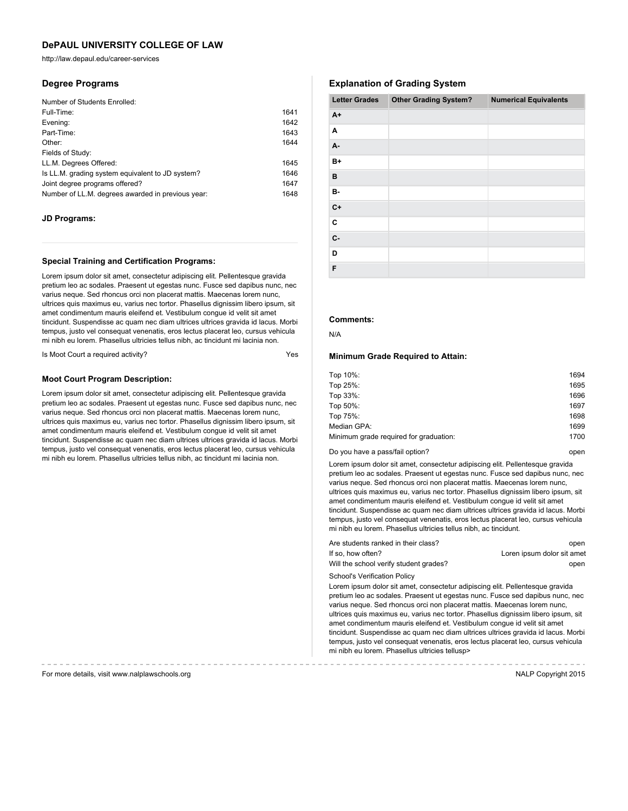http://law.depaul.edu/career-services

### **Degree Programs**

| 1641 |
|------|
| 1642 |
| 1643 |
| 1644 |
|      |
| 1645 |
| 1646 |
| 1647 |
| 1648 |
|      |

### **JD Programs:**

#### **Special Training and Certification Programs:**

Lorem ipsum dolor sit amet, consectetur adipiscing elit. Pellentesque gravida pretium leo ac sodales. Praesent ut egestas nunc. Fusce sed dapibus nunc, nec varius neque. Sed rhoncus orci non placerat mattis. Maecenas lorem nunc, ultrices quis maximus eu, varius nec tortor. Phasellus dignissim libero ipsum, sit amet condimentum mauris eleifend et. Vestibulum congue id velit sit amet tincidunt. Suspendisse ac quam nec diam ultrices ultrices gravida id lacus. Morbi tempus, justo vel consequat venenatis, eros lectus placerat leo, cursus vehicula mi nibh eu lorem. Phasellus ultricies tellus nibh, ac tincidunt mi lacinia non.

Is Moot Court a required activity?

#### **Moot Court Program Description:**

Lorem ipsum dolor sit amet, consectetur adipiscing elit. Pellentesque gravida pretium leo ac sodales. Praesent ut egestas nunc. Fusce sed dapibus nunc, nec varius neque. Sed rhoncus orci non placerat mattis. Maecenas lorem nunc, ultrices quis maximus eu, varius nec tortor. Phasellus dignissim libero ipsum, sit amet condimentum mauris eleifend et. Vestibulum congue id velit sit amet tincidunt. Suspendisse ac quam nec diam ultrices ultrices gravida id lacus. Morbi tempus, justo vel consequat venenatis, eros lectus placerat leo, cursus vehicula mi nibh eu lorem. Phasellus ultricies tellus nibh, ac tincidunt mi lacinia non.

### **Explanation of Grading System**

| <b>Letter Grades</b> | <b>Other Grading System?</b> | <b>Numerical Equivalents</b> |
|----------------------|------------------------------|------------------------------|
| $A+$                 |                              |                              |
| Α                    |                              |                              |
| А-                   |                              |                              |
| $B+$                 |                              |                              |
| В                    |                              |                              |
| в-                   |                              |                              |
| $C+$                 |                              |                              |
| $\mathbf c$          |                              |                              |
| c-                   |                              |                              |
| D                    |                              |                              |
| F                    |                              |                              |

## **Comments:**

N/A

#### **Minimum Grade Required to Attain:**

| Top 10%:                               | 1694 |
|----------------------------------------|------|
| Top 25%:                               | 1695 |
| Top 33%:                               | 1696 |
| Top 50%:                               | 1697 |
| Top 75%:                               | 1698 |
| Median GPA:                            | 1699 |
| Minimum grade required for graduation: | 1700 |
|                                        |      |

#### Do you have a pass/fail option? **Do you have a passe** open

Lorem ipsum dolor sit amet, consectetur adipiscing elit. Pellentesque gravida pretium leo ac sodales. Praesent ut egestas nunc. Fusce sed dapibus nunc, nec varius neque. Sed rhoncus orci non placerat mattis. Maecenas lorem nunc, ultrices quis maximus eu, varius nec tortor. Phasellus dignissim libero ipsum, sit amet condimentum mauris eleifend et. Vestibulum congue id velit sit amet tincidunt. Suspendisse ac quam nec diam ultrices ultrices gravida id lacus. Morbi tempus, justo vel consequat venenatis, eros lectus placerat leo, cursus vehicula mi nibh eu lorem. Phasellus ultricies tellus nibh, ac tincidunt.

| Are students ranked in their class?    | open                       |
|----------------------------------------|----------------------------|
| If so, how often?                      | Loren ipsum dolor sit amet |
| Will the school verify student grades? | open                       |

School's Verification Policy

Lorem ipsum dolor sit amet, consectetur adipiscing elit. Pellentesque gravida pretium leo ac sodales. Praesent ut egestas nunc. Fusce sed dapibus nunc, nec varius neque. Sed rhoncus orci non placerat mattis. Maecenas lorem nunc, ultrices quis maximus eu, varius nec tortor. Phasellus dignissim libero ipsum, sit amet condimentum mauris eleifend et. Vestibulum congue id velit sit amet tincidunt. Suspendisse ac quam nec diam ultrices ultrices gravida id lacus. Morbi tempus, justo vel consequat venenatis, eros lectus placerat leo, cursus vehicula mi nibh eu lorem. Phasellus ultricies tellusp>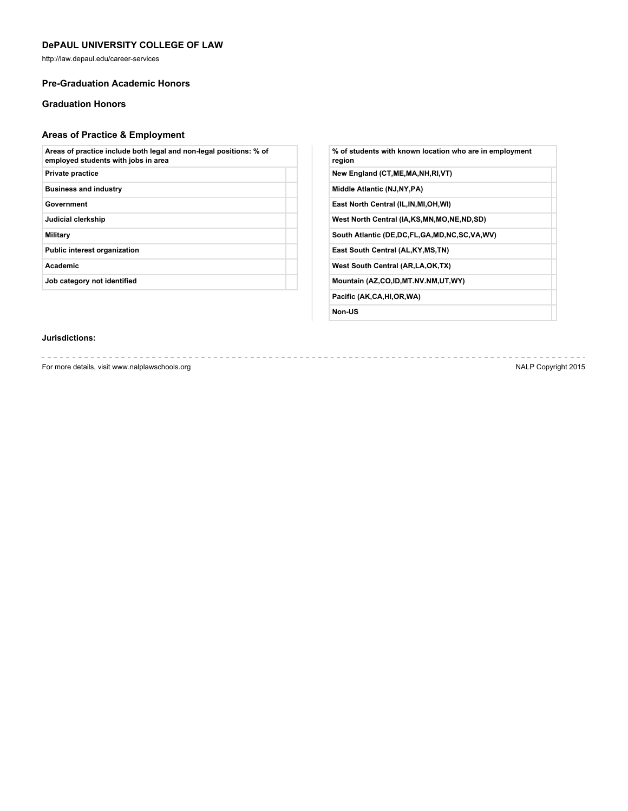http://law.depaul.edu/career-services

## **Pre-Graduation Academic Honors**

# **Graduation Honors**

# **Areas of Practice & Employment**

| Areas of practice include both legal and non-legal positions: % of<br>employed students with jobs in area |  |
|-----------------------------------------------------------------------------------------------------------|--|
| <b>Private practice</b>                                                                                   |  |
| <b>Business and industry</b>                                                                              |  |
| Government                                                                                                |  |
| Judicial clerkship                                                                                        |  |
| Military                                                                                                  |  |
| <b>Public interest organization</b>                                                                       |  |
| <b>Academic</b>                                                                                           |  |
| Job category not identified                                                                               |  |
|                                                                                                           |  |

| % of students with known location who are in employment<br>region |
|-------------------------------------------------------------------|
| New England (CT, ME, MA, NH, RI, VT)                              |
| Middle Atlantic (NJ, NY, PA)                                      |
| East North Central (IL, IN, MI, OH, WI)                           |
| West North Central (IA,KS,MN,MO,NE,ND,SD)                         |
| South Atlantic (DE,DC,FL,GA,MD,NC,SC,VA,WV)                       |
| East South Central (AL, KY, MS, TN)                               |
| West South Central (AR, LA, OK, TX)                               |
| Mountain (AZ,CO,ID,MT.NV.NM,UT,WY)                                |
| Pacific (AK,CA,HI,OR,WA)                                          |
|                                                                   |

**Non-US**

## **Jurisdictions:**

For more details, visit www.nalplawschools.org NALP Copyright 2015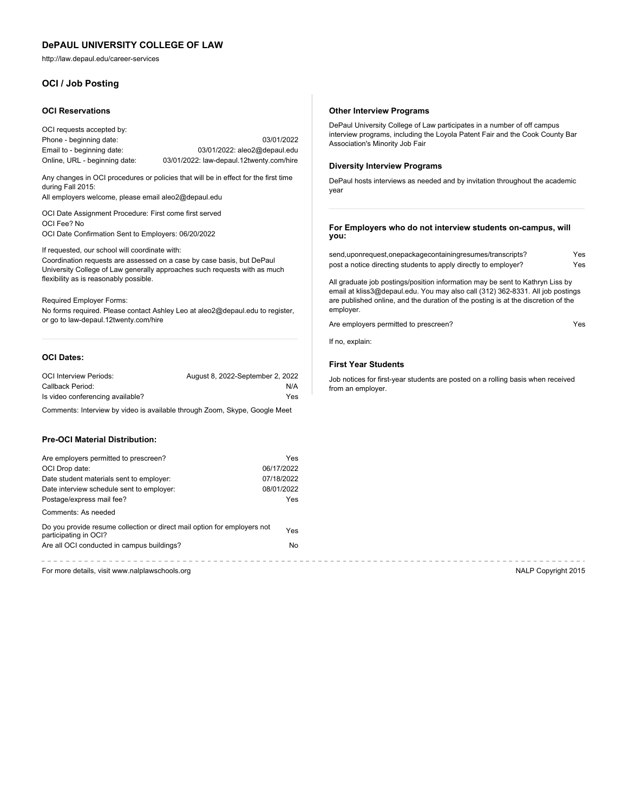http://law.depaul.edu/career-services

## **OCI / Job Posting**

#### **OCI Reservations**

OCI requests accepted by: Phone - beginning date: 03/01/2022 Email to - beginning date: 03/01/2022: aleo2@depaul.edu Online, URL - beginning date: 03/01/2022: law-depaul.12twenty.com/hire

Any changes in OCI procedures or policies that will be in effect for the first time during Fall 2015:

All employers welcome, please email aleo2@depaul.edu

OCI Date Assignment Procedure: First come first served OCI Fee? No OCI Date Confirmation Sent to Employers: 06/20/2022

If requested, our school will coordinate with:

Coordination requests are assessed on a case by case basis, but DePaul University College of Law generally approaches such requests with as much flexibility as is reasonably possible.

Required Employer Forms: No forms required. Please contact Ashley Leo at aleo2@depaul.edu to register, or go to law-depaul.12twenty.com/hire

#### **OCI Dates:**

| <b>OCI Interview Periods:</b>    | August 8, 2022-September 2, 2022 |
|----------------------------------|----------------------------------|
| Callback Period:                 | N/A                              |
| Is video conferencing available? | Yes                              |

Comments: Interview by video is available through Zoom, Skype, Google Meet

# **Pre-OCI Material Distribution:**

| Are employers permitted to prescreen?                                                             | <b>Yes</b> |
|---------------------------------------------------------------------------------------------------|------------|
| OCI Drop date:                                                                                    | 06/17/2022 |
| Date student materials sent to employer:                                                          | 07/18/2022 |
| Date interview schedule sent to employer:                                                         | 08/01/2022 |
| Postage/express mail fee?                                                                         | <b>Yes</b> |
| Comments: As needed                                                                               |            |
| Do you provide resume collection or direct mail option for employers not<br>participating in OCI? | Yes        |
| Are all OCI conducted in campus buildings?                                                        | No.        |
|                                                                                                   |            |

For more details, visit www.nalplawschools.org NALP Copyright 2015

#### **Other Interview Programs**

DePaul University College of Law participates in a number of off campus interview programs, including the Loyola Patent Fair and the Cook County Bar Association's Minority Job Fair

## **Diversity Interview Programs**

DePaul hosts interviews as needed and by invitation throughout the academic year

**For Employers who do not interview students on-campus, will you:**

| send,uponrequest,onepackagecontainingresumes/transcripts?       | Yes |
|-----------------------------------------------------------------|-----|
| post a notice directing students to apply directly to employer? | Yes |

All graduate job postings/position information may be sent to Kathryn Liss by email at kliss3@depaul.edu. You may also call (312) 362-8331. All job postings are published online, and the duration of the posting is at the discretion of the employer.

Are employers permitted to prescreen? The state of the SNS and Yes

If no, explain:

#### **First Year Students**

Job notices for first-year students are posted on a rolling basis when received from an employer.